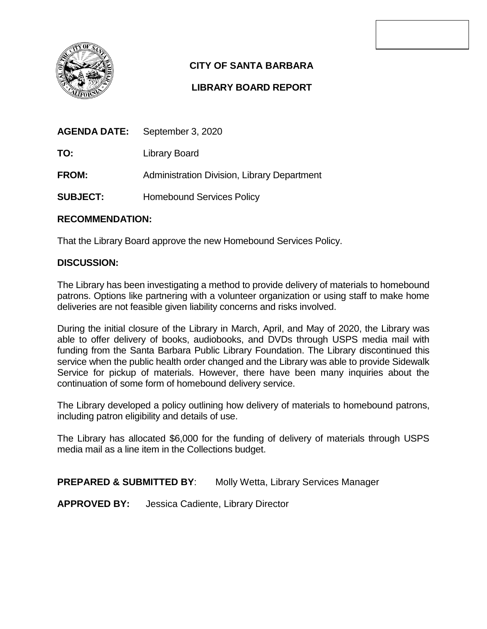

# **CITY OF SANTA BARBARA**

## **LIBRARY BOARD REPORT**

| <b>AGENDA DATE:</b> | September 3, 2020                           |
|---------------------|---------------------------------------------|
| TO:                 | Library Board                               |
| <b>FROM:</b>        | Administration Division, Library Department |
| <b>SUBJECT:</b>     | <b>Homebound Services Policy</b>            |

## **RECOMMENDATION:**

That the Library Board approve the new Homebound Services Policy.

## **DISCUSSION:**

The Library has been investigating a method to provide delivery of materials to homebound patrons. Options like partnering with a volunteer organization or using staff to make home deliveries are not feasible given liability concerns and risks involved.

During the initial closure of the Library in March, April, and May of 2020, the Library was able to offer delivery of books, audiobooks, and DVDs through USPS media mail with funding from the Santa Barbara Public Library Foundation. The Library discontinued this service when the public health order changed and the Library was able to provide Sidewalk Service for pickup of materials. However, there have been many inquiries about the continuation of some form of homebound delivery service.

The Library developed a policy outlining how delivery of materials to homebound patrons, including patron eligibility and details of use.

The Library has allocated \$6,000 for the funding of delivery of materials through USPS media mail as a line item in the Collections budget.

**PREPARED & SUBMITTED BY:** Molly Wetta, Library Services Manager

**APPROVED BY:** Jessica Cadiente, Library Director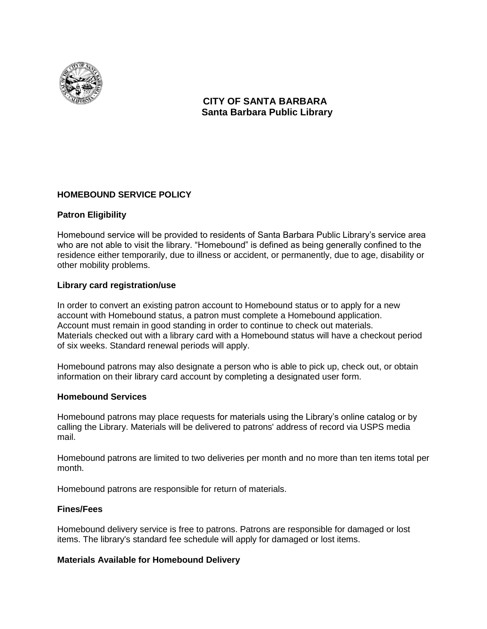

## **CITY OF SANTA BARBARA Santa Barbara Public Library**

## **HOMEBOUND SERVICE POLICY**

#### **Patron Eligibility**

Homebound service will be provided to residents of Santa Barbara Public Library's service area who are not able to visit the library. "Homebound" is defined as being generally confined to the residence either temporarily, due to illness or accident, or permanently, due to age, disability or other mobility problems.

#### **Library card registration/use**

In order to convert an existing patron account to Homebound status or to apply for a new account with Homebound status, a patron must complete a Homebound application. Account must remain in good standing in order to continue to check out materials. Materials checked out with a library card with a Homebound status will have a checkout period of six weeks. Standard renewal periods will apply.

Homebound patrons may also designate a person who is able to pick up, check out, or obtain information on their library card account by completing a designated user form.

#### **Homebound Services**

Homebound patrons may place requests for materials using the Library's online catalog or by calling the Library. Materials will be delivered to patrons' address of record via USPS media mail.

Homebound patrons are limited to two deliveries per month and no more than ten items total per month.

Homebound patrons are responsible for return of materials.

#### **Fines/Fees**

Homebound delivery service is free to patrons. Patrons are responsible for damaged or lost items. The library's standard fee schedule will apply for damaged or lost items.

#### **Materials Available for Homebound Delivery**